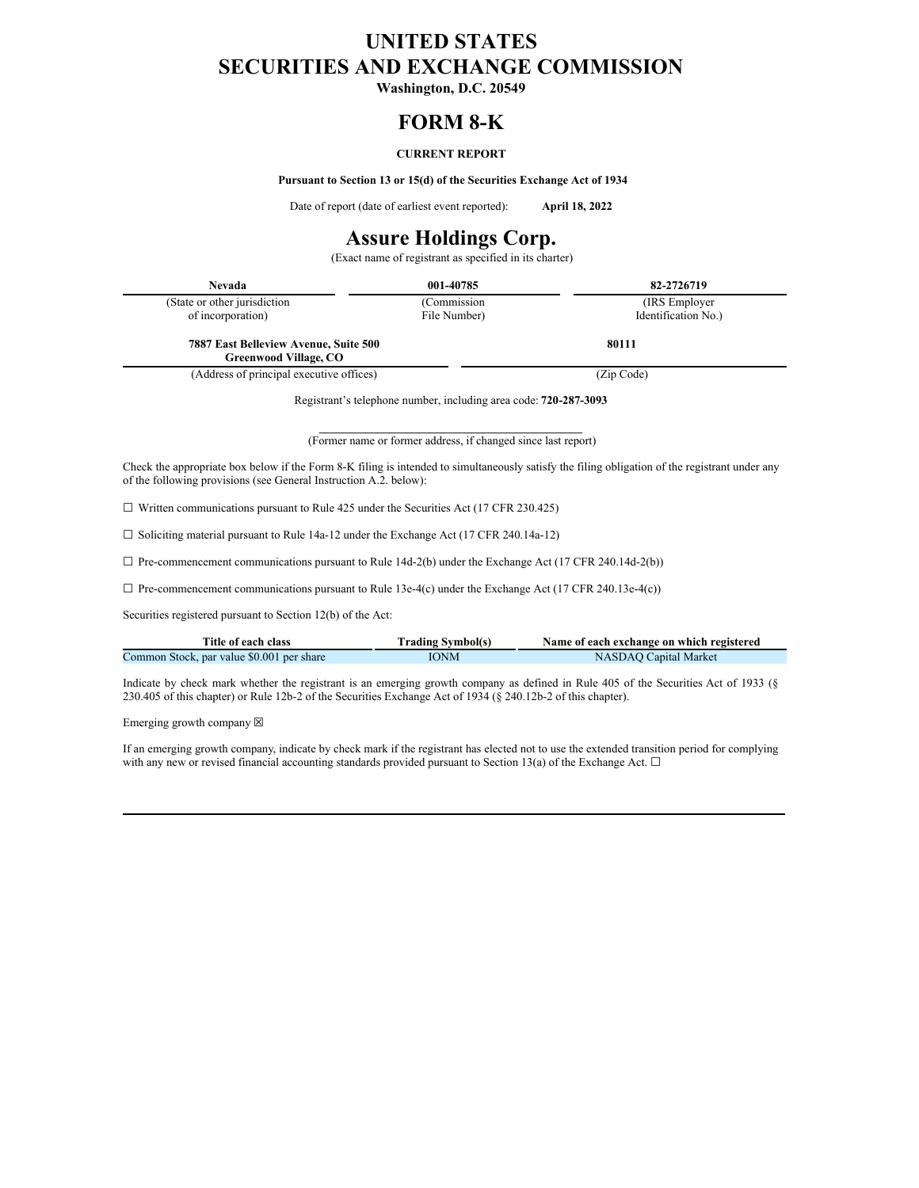# **UNITED STATES SECURITIES AND EXCHANGE COMMISSION**

**Washington, D.C. 20549**

# **FORM 8-K**

#### **CURRENT REPORT**

**Pursuant to Section 13 or 15(d) of the Securities Exchange Act of 1934**

Date of report (date of earliest event reported): **April 18, 2022**

# **Assure Holdings Corp.**

(Exact name of registrant as specified in its charter)

| Nevada                                                                                                                                                                                                              | 001-40785                                                                                                                         | 82-2726719                            |
|---------------------------------------------------------------------------------------------------------------------------------------------------------------------------------------------------------------------|-----------------------------------------------------------------------------------------------------------------------------------|---------------------------------------|
| (State or other jurisdiction)<br>of incorporation)                                                                                                                                                                  | (Commission<br>File Number)                                                                                                       | (IRS Employer)<br>Identification No.) |
| 7887 East Belleview Avenue, Suite 500<br><b>Greenwood Village, CO</b>                                                                                                                                               |                                                                                                                                   | 80111                                 |
| (Address of principal executive offices)                                                                                                                                                                            |                                                                                                                                   | (Zip Code)                            |
|                                                                                                                                                                                                                     | Registrant's telephone number, including area code: 720-287-3093<br>(Former name or former address, if changed since last report) |                                       |
| Check the appropriate box below if the Form 8-K filing is intended to simultaneously satisfy the filing obligation of the registrant under any<br>of the following provisions (see General Instruction A.2, below): |                                                                                                                                   |                                       |
| $\Box$ Written communications pursuant to Rule 425 under the Securities Act (17 CFR 230.425)                                                                                                                        |                                                                                                                                   |                                       |

☐ Soliciting material pursuant to Rule 14a-12 under the Exchange Act (17 CFR 240.14a-12)

 $\Box$  Pre-commencement communications pursuant to Rule 14d-2(b) under the Exchange Act (17 CFR 240.14d-2(b))

 $\Box$  Pre-commencement communications pursuant to Rule 13e-4(c) under the Exchange Act (17 CFR 240.13e-4(c))

Securities registered pursuant to Section 12(b) of the Act:

| Title of each class                       | <b>Trading Symbol(s)</b> | Name of each exchange on which registered |
|-------------------------------------------|--------------------------|-------------------------------------------|
| Common Stock, par value \$0.001 per share | <b>IONM</b>              | NASDAO Capital Market                     |

Indicate by check mark whether the registrant is an emerging growth company as defined in Rule 405 of the Securities Act of 1933 (§ 230.405 of this chapter) or Rule 12b-2 of the Securities Exchange Act of 1934 (§ 240.12b-2 of this chapter).

Emerging growth company  $\boxtimes$ 

If an emerging growth company, indicate by check mark if the registrant has elected not to use the extended transition period for complying with any new or revised financial accounting standards provided pursuant to Section 13(a) of the Exchange Act.  $\Box$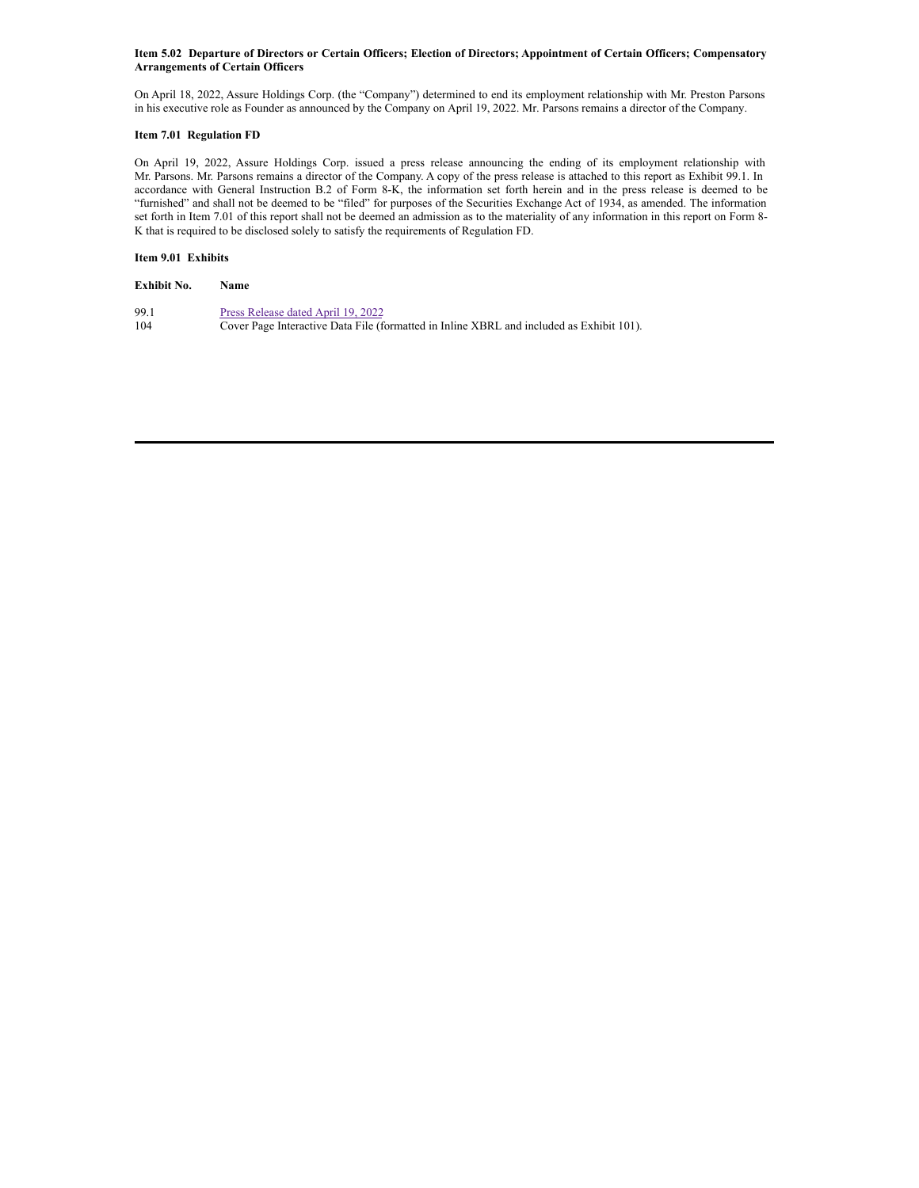#### Item 5.02 Departure of Directors or Certain Officers; Election of Directors; Appointment of Certain Officers; Compensatory **Arrangements of Certain Officers**

On April 18, 2022, Assure Holdings Corp. (the "Company") determined to end its employment relationship with Mr. Preston Parsons in his executive role as Founder as announced by the Company on April 19, 2022. Mr. Parsons remains a director of the Company.

#### **Item 7.01 Regulation FD**

On April 19, 2022, Assure Holdings Corp. issued a press release announcing the ending of its employment relationship with Mr. Parsons. Mr. Parsons remains a director of the Company. A copy of the press release is attached to this report as Exhibit 99.1. In accordance with General Instruction B.2 of Form 8-K, the information set forth herein and in the press release is deemed to be "furnished" and shall not be deemed to be "filed" for purposes of the Securities Exchange Act of 1934, as amended. The information set forth in Item 7.01 of this report shall not be deemed an admission as to the materiality of any information in this report on Form 8- K that is required to be disclosed solely to satisfy the requirements of Regulation FD.

#### **Item 9.01 Exhibits**

| Exhibit No. | Name                                                                                     |
|-------------|------------------------------------------------------------------------------------------|
| 99.1        | Press Release dated April 19, 2022                                                       |
| 104         | Cover Page Interactive Data File (formatted in Inline XBRL and included as Exhibit 101). |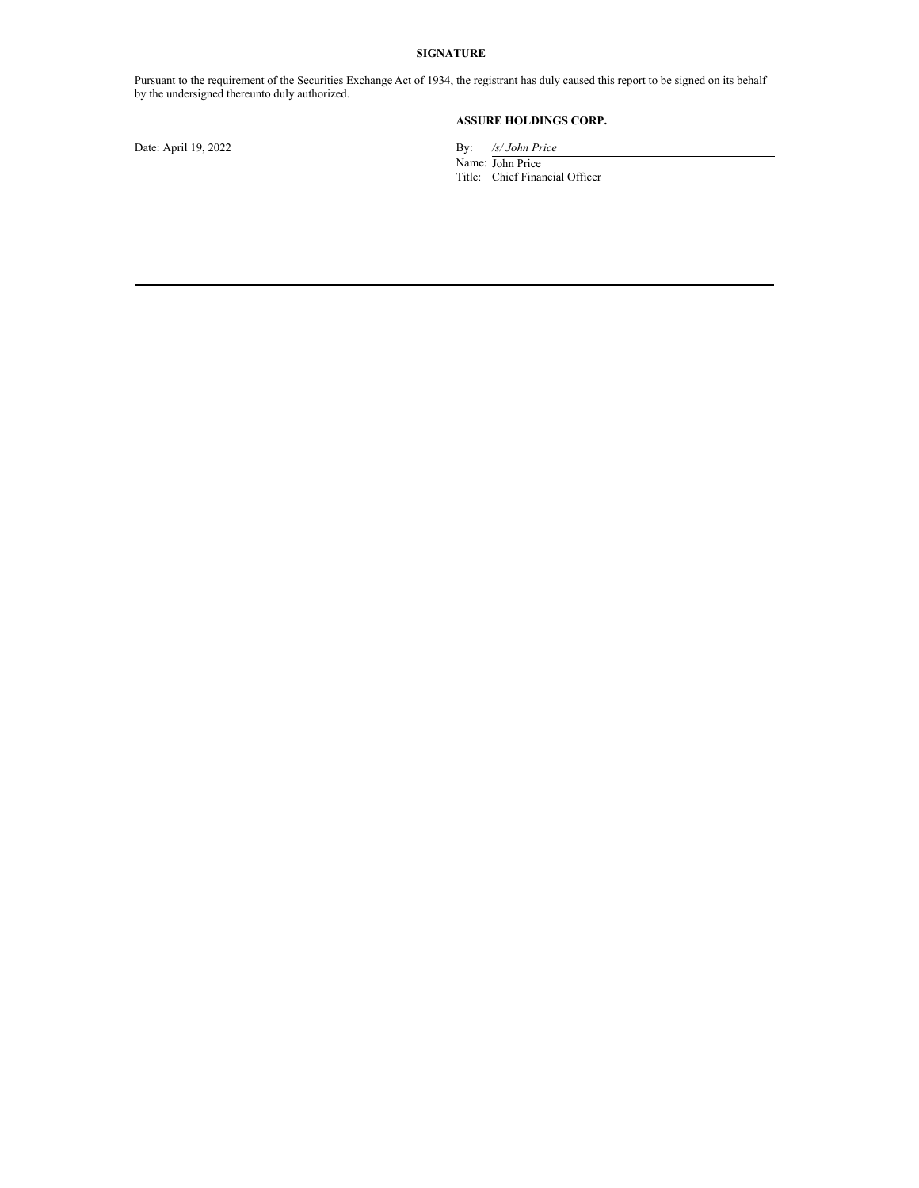# **SIGNATURE**

Pursuant to the requirement of the Securities Exchange Act of 1934, the registrant has duly caused this report to be signed on its behalf by the undersigned thereunto duly authorized.

# **ASSURE HOLDINGS CORP.**

Date: April 19, 2022 By: */s/ John Price* Name: John Price Title: Chief Financial Officer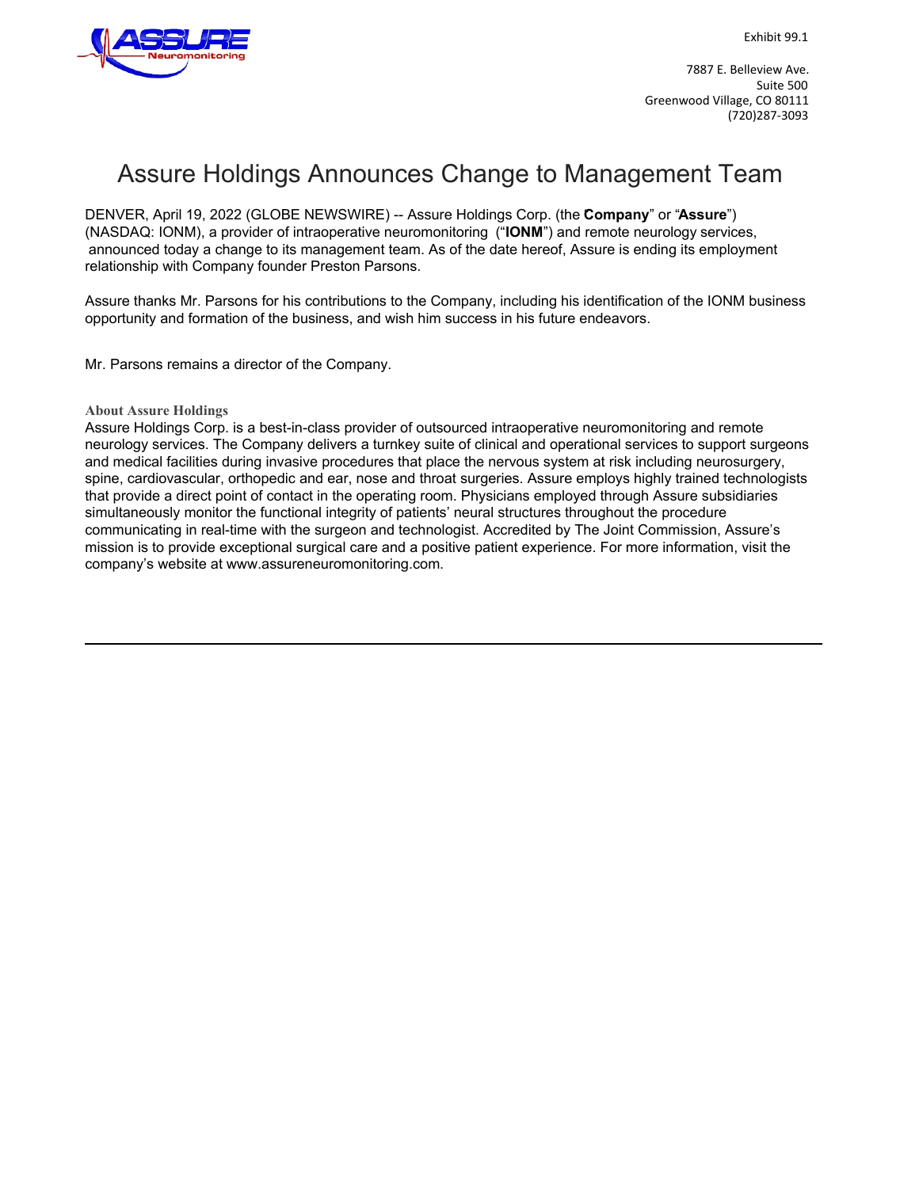<span id="page-3-0"></span>

7887 E. Belleview Ave. Suite 500 Greenwood Village, CO 80111 (720)287-3093

# Assure Holdings Announces Change to Management Team

DENVER, April 19, 2022 (GLOBE NEWSWIRE) -- Assure Holdings Corp. (the Company" or "Assure") (NASDAQ: IONM), a provider of intraoperative neuromonitoring ("**IONM**") and remote neurology services, announced today a change to its management team. As of the date hereof, Assure is ending its employment relationship with Company founder Preston Parsons.

Assure thanks Mr. Parsons for his contributions to the Company, including his identification of the IONM business opportunity and formation of the business, and wish him success in his future endeavors.

Mr. Parsons remains a director of the Company.

## **About Assure Holdings**

Assure Holdings Corp. is a best-in-class provider of outsourced intraoperative neuromonitoring and remote neurology services. The Company delivers a turnkey suite of clinical and operational services to support surgeons and medical facilities during invasive procedures that place the nervous system at risk including neurosurgery, spine, cardiovascular, orthopedic and ear, nose and throat surgeries. Assure employs highly trained technologists that provide a direct point of contact in the operating room. Physicians employed through Assure subsidiaries simultaneously monitor the functional integrity of patients' neural structures throughout the procedure communicating in real-time with the surgeon and technologist. Accredited by The Joint Commission, Assure's mission is to provide exceptional surgical care and a positive patient experience. For more information, visit the company's website at www.assureneuromonitoring.com.